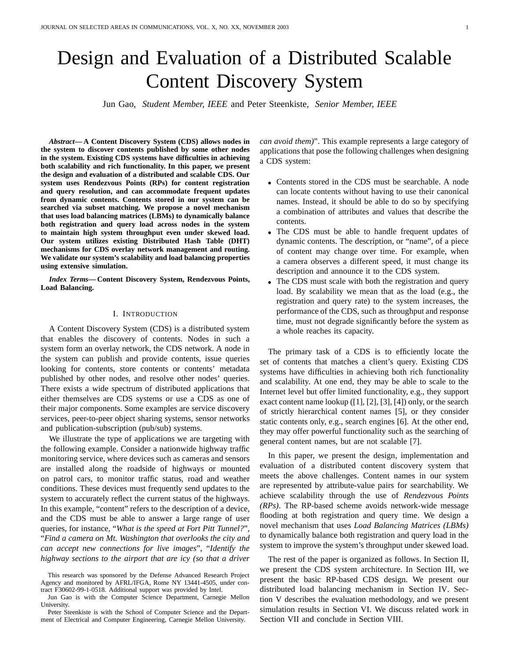# Design and Evaluation of a Distributed Scalable Content Discovery System

Jun Gao, *Student Member, IEEE* and Peter Steenkiste, *Senior Member, IEEE*

*Abstract***— A Content Discovery System (CDS) allows nodes in the system to discover contents published by some other nodes in the system. Existing CDS systems have difficulties in achieving both scalability and rich functionality. In this paper, we present the design and evaluation of a distributed and scalable CDS. Our system uses Rendezvous Points (RPs) for content registration and query resolution, and can accommodate frequent updates from dynamic contents. Contents stored in our system can be searched via subset matching. We propose a novel mechanism that uses load balancing matrices (LBMs) to dynamically balance both registration and query load across nodes in the system to maintain high system throughput even under skewed load. Our system utilizes existing Distributed Hash Table (DHT) mechanisms for CDS overlay network management and routing. We validate our system's scalability and load balancing properties using extensive simulation.**

*Index Terms***— Content Discovery System, Rendezvous Points, Load Balancing.**

#### I. INTRODUCTION

A Content Discovery System (CDS) is a distributed system that enables the discovery of contents. Nodes in such a system form an overlay network, the CDS network. A node in the system can publish and provide contents, issue queries looking for contents, store contents or contents' metadata published by other nodes, and resolve other nodes' queries. There exists a wide spectrum of distributed applications that either themselves are CDS systems or use a CDS as one of their major components. Some examples are service discovery services, peer-to-peer object sharing systems, sensor networks and publication-subscription (pub/sub) systems.

We illustrate the type of applications we are targeting with the following example. Consider a nationwide highway traffic monitoring service, where devices such as cameras and sensors are installed along the roadside of highways or mounted on patrol cars, to monitor traffic status, road and weather conditions. These devices must frequently send updates to the system to accurately reflect the current status of the highways. In this example, "content" refers to the description of a device, and the CDS must be able to answer a large range of user queries, for instance, "*What is the speed at Fort Pitt Tunnel?*", "*Find a camera on Mt. Washington that overlooks the city and can accept new connections for live images*", "*Identify the highway sections to the airport that are icy (so that a driver* *can avoid them)*". This example represents a large category of applications that pose the following challenges when designing a CDS system:

- Contents stored in the CDS must be searchable. A node can locate contents without having to use their canonical names. Instead, it should be able to do so by specifying a combination of attributes and values that describe the contents.
- The CDS must be able to handle frequent updates of dynamic contents. The description, or "name", of a piece of content may change over time. For example, when a camera observes a different speed, it must change its description and announce it to the CDS system.
- The CDS must scale with both the registration and query load. By scalability we mean that as the load (e.g., the registration and query rate) to the system increases, the performance of the CDS, such as throughput and response time, must not degrade significantly before the system as a whole reaches its capacity.

The primary task of a CDS is to efficiently locate the set of contents that matches a client's query. Existing CDS systems have difficulties in achieving both rich functionality and scalability. At one end, they may be able to scale to the Internet level but offer limited functionality, e.g., they support exact content name lookup ([1], [2], [3], [4]) only, or the search of strictly hierarchical content names [5], or they consider static contents only, e.g., search engines [6]. At the other end, they may offer powerful functionality such as the searching of general content names, but are not scalable [7].

In this paper, we present the design, implementation and evaluation of a distributed content discovery system that meets the above challenges. Content names in our system are represented by attribute-value pairs for searchability. We achieve scalability through the use of *Rendezvous Points (RPs)*. The RP-based scheme avoids network-wide message flooding at both registration and query time. We design a novel mechanism that uses *Load Balancing Matrices (LBMs)* to dynamically balance both registration and query load in the system to improve the system's throughput under skewed load.

The rest of the paper is organized as follows. In Section II, we present the CDS system architecture. In Section III, we present the basic RP-based CDS design. We present our distributed load balancing mechanism in Section IV. Section V describes the evaluation methodology, and we present simulation results in Section VI. We discuss related work in Section VII and conclude in Section VIII.

This research was sponsored by the Defense Advanced Research Project Agency and monitored by AFRL/IFGA, Rome NY 13441-4505, under contract F30602-99-1-0518. Additional support was provided by Intel.

Jun Gao is with the Computer Science Department, Carnegie Mellon University.

Peter Steenkiste is with the School of Computer Science and the Department of Electrical and Computer Engineering, Carnegie Mellon University.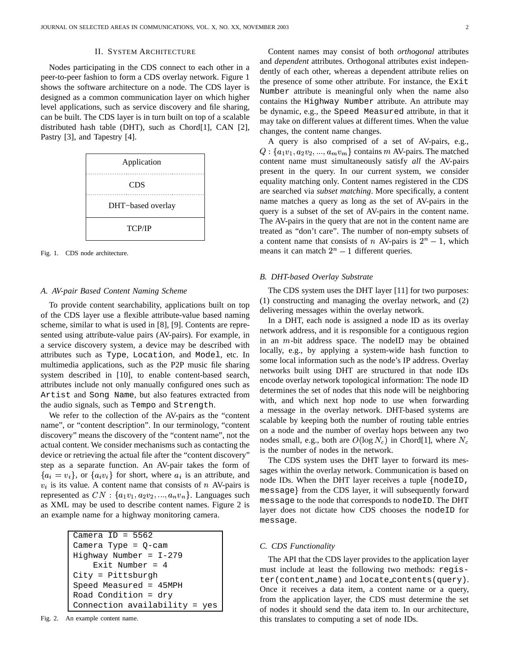#### II. SYSTEM ARCHITECTURE

Nodes participating in the CDS connect to each other in a peer-to-peer fashion to form a CDS overlay network. Figure 1 shows the software architecture on a node. The CDS layer is designed as a common communication layer on which higher level applications, such as service discovery and file sharing, can be built. The CDS layer is in turn built on top of a scalable distributed hash table (DHT), such as Chord[1], CAN [2], Pastry [3], and Tapestry [4].



Fig. 1. CDS node architecture.

#### *A. AV-pair Based Content Naming Scheme*

To provide content searchability, applications built on top of the CDS layer use a flexible attribute-value based naming scheme, similar to what is used in [8], [9]. Contents are represented using attribute-value pairs (AV-pairs). For example, in a service discovery system, a device may be described with attributes such as Type, Location, and Model, etc. In multimedia applications, such as the P2P music file sharing system described in [10], to enable content-based search, attributes include not only manually configured ones such as Artist and Song Name, but also features extracted from the audio signals, such as Tempo and Strength.

We refer to the collection of the AV-pairs as the "content name", or "content description". In our terminology, "content discovery" means the discovery of the "content name", not the actual content. We consider mechanisms such as contacting the device or retrieving the actual file after the "content discovery" step as a separate function. An AV-pair takes the form of  ${a_i = v_i}$ , or  ${a_i v_i}$  for short, where  $a_i$  is an attribute, and  $v_i$  is its value. A content name that consists of  $n$  AV-pairs is represented as  $CN: \{a_1v_1, a_2v_2, ..., a_nv_n\}$ . Languages such as XML may be used to describe content names. Figure 2 is an example name for a highway monitoring camera.

| Camera ID = $5562$            |
|-------------------------------|
| Camera Type = $0$ -cam        |
| Highway Number = $I-279$      |
| $Exit$ Number = 4             |
| $City = Pittsburgh$           |
| Speed Measured = 45MPH        |
| Road Condition = $\text{dry}$ |
| Connection availability = yes |

Content names may consist of both *orthogonal* attributes and *dependent* attributes. Orthogonal attributes exist independently of each other, whereas a dependent attribute relies on the presence of some other attribute. For instance, the Exit Number attribute is meaningful only when the name also contains the Highway Number attribute. An attribute may be dynamic, e.g., the Speed Measured attribute, in that it may take on different values at different times. When the value changes, the content name changes.

A query is also comprised of a set of AV-pairs, e.g.,  $Q: \{a_1v_1, a_2v_2, ..., a_mv_m\}$  contains  $m$  AV-pairs. The matched content name must simultaneously satisfy *all* the AV-pairs present in the query. In our current system, we consider equality matching only. Content names registered in the CDS are searched via *subset matching*. More specifically, a content name matches a query as long as the set of AV-pairs in the query is a subset of the set of AV-pairs in the content name. The AV-pairs in the query that are not in the content name are treated as "don't care". The number of non-empty subsets of a content name that consists of *n* AV-pairs is  $2<sup>n</sup> - 1$ , which means it can match  $2<sup>n</sup> - 1$  different queries.

#### *B. DHT-based Overlay Substrate*

The CDS system uses the DHT layer [11] for two purposes: (1) constructing and managing the overlay network, and (2) delivering messages within the overlay network.

In a DHT, each node is assigned a node ID as its overlay network address, and it is responsible for a contiguous region in an  $m$ -bit address space. The nodeID may be obtained locally, e.g., by applying a system-wide hash function to some local information such as the node's IP address. Overlay networks built using DHT are structured in that node IDs encode overlay network topological information: The node ID determines the set of nodes that this node will be neighboring with, and which next hop node to use when forwarding a message in the overlay network. DHT-based systems are scalable by keeping both the number of routing table entries on a node and the number of overlay hops between any two nodes small, e.g., both are  $O(\log N_c)$  in Chord[1], where  $N_c$ is the number of nodes in the network.

The CDS system uses the DHT layer to forward its messages within the overlay network. Communication is based on node IDs. When the DHT layer receives a tuple nodeID, message from the CDS layer, it will subsequently forward message to the node that corresponds to nodeID. The DHT layer does not dictate how CDS chooses the nodeID for message.

#### *C. CDS Functionality*

The API that the CDS layer provides to the application layer must include at least the following two methods: register(content name) and locate contents(query). Once it receives a data item, a content name or a query, from the application layer, the CDS must determine the set of nodes it should send the data item to. In our architecture, this translates to computing a set of node IDs.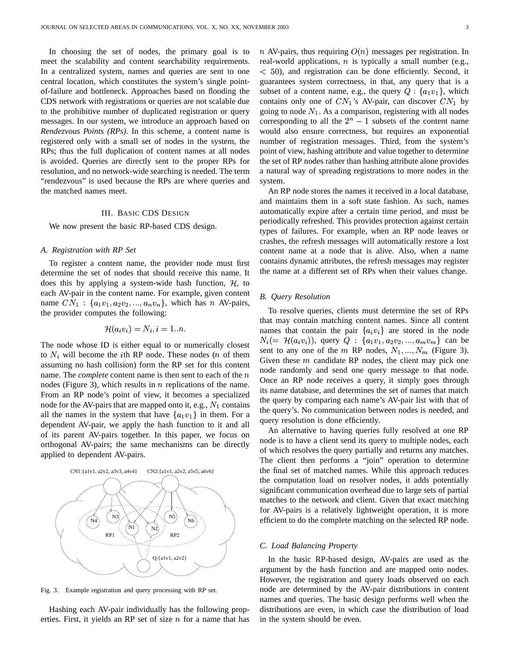In choosing the set of nodes, the primary goal is to meet the scalability and content searchability requirements. In a centralized system, names and queries are sent to one central location, which constitutes the system's single pointof-failure and bottleneck. Approaches based on flooding the CDS network with registrations or queries are not scalable due to the prohibitive number of duplicated registration or query messages. In our system, we introduce an approach based on *Rendezvous Points (RPs)*. In this scheme, a content name is registered only with a small set of nodes in the system, the RPs; thus the full duplication of content names at all nodes is avoided. Queries are directly sent to the proper RPs for resolution, and no network-wide searching is needed. The term "rendezvous" is used because the RPs are where queries and the matched names meet.

#### III. BASIC CDS DESIGN

We now present the basic RP-based CDS design.

#### *A. Registration with RP Set*

To register a content name, the provider node must first determine the set of nodes that should receive this name. It does this by applying a system-wide hash function,  $H$ , to each AV-pair in the content name. For example, given content name  $CN_1$ :  $\{a_1v_1, a_2v_2, ..., a_nv_n\}$ , which has *n* AV-pairs, the provider computes the following:

$$
\mathcal{H}(a_i v_i) = N_i, i = 1..n.
$$

The node whose ID is either equal to or numerically closest to  $N_i$  will become the *i*th RP node. These nodes (*n* of them assuming no hash collision) form the RP set for this content name. The *complete* content name is then sent to each of the nodes (Figure 3), which results in  $n$  replications of the name. From an RP node's point of view, it becomes a specialized node for the AV-pairs that are mapped onto it, e.g.,  $N_1$  contains the quality all the names in the system that have  $\{a_1v_1\}$  in them. For a dependent AV-pair, we apply the hash function to it and all of its parent AV-pairs together. In this paper, we focus on orthogonal AV-pairs; the same mechanisms can be directly applied to dependent AV-pairs.



Fig. 3. Example registration and query processing with RP set.

Hashing each AV-pair individually has the following properties. First, it yields an RP set of size  $n$  for a name that has n AV-pairs, thus requiring  $O(n)$  messages per registration. In real-world applications,  $n$  is typically a small number (e.g.,  $<$  50), and registration can be done efficiently. Second, it guarantees system correctness, in that, any query that is a subset of a content name, e.g., the query  $Q: \{a_1v_1\}$ , which contains only one of  $CN_1$ 's AV-pair, can discover  $CN_1$  by going to node  $N_1$ . As a comparison, registering with all nodes corresponding to all the  $2^n - 1$  subsets of the content name would also ensure correctness, but requires an exponential number of registration messages. Third, from the system's point of view, hashing attribute and value together to determine the set of RP nodes rather than hashing attribute alone provides a natural way of spreading registrations to more nodes in the system.

An RP node stores the names it received in a local database, and maintains them in a soft state fashion. As such, names automatically expire after a certain time period, and must be periodically refreshed. This provides protection against certain types of failures. For example, when an RP node leaves or crashes, the refresh messages will automatically restore a lost content name at a node that is alive. Also, when a name contains dynamic attributes, the refresh messages may register the name at a different set of RPs when their values change.

## *B. Query Resolution*

To resolve queries, clients must determine the set of RPs that may contain matching content names. Since all content names that contain the pair  $\{a_i v_i\}$  are stored in the node  $N_i (= \mathcal{H}(a_i v_i)),$  query  $Q : \{a_1 v_1, a_2 v_2, ..., a_m v_m\}$  can be sent to any one of the  $m$  RP nodes,  $N_1, ..., N_m$  (Figure 3). Given these  $m$  candidate RP nodes, the client may pick one node randomly and send one query message to that node. Once an RP node receives a query, it simply goes through its name database, and determines the set of names that match the query by comparing each name's AV-pair list with that of the query's. No communication between nodes is needed, and query resolution is done efficiently.

An alternative to having queries fully resolved at one RP node is to have a client send its query to multiple nodes, each of which resolves the query partially and returns any matches. The client then performs a "join" operation to determine the final set of matched names. While this approach reduces the computation load on resolver nodes, it adds potentially significant communication overhead due to large sets of partial matches to the network and client. Given that exact matching for AV-pairs is a relatively lightweight operation, it is more efficient to do the complete matching on the selected RP node.

### *C. Load Balancing Property*

In the basic RP-based design, AV-pairs are used as the argument by the hash function and are mapped onto nodes. However, the registration and query loads observed on each node are determined by the AV-pair distributions in content names and queries. The basic design performs well when the distributions are even, in which case the distribution of load in the system should be even.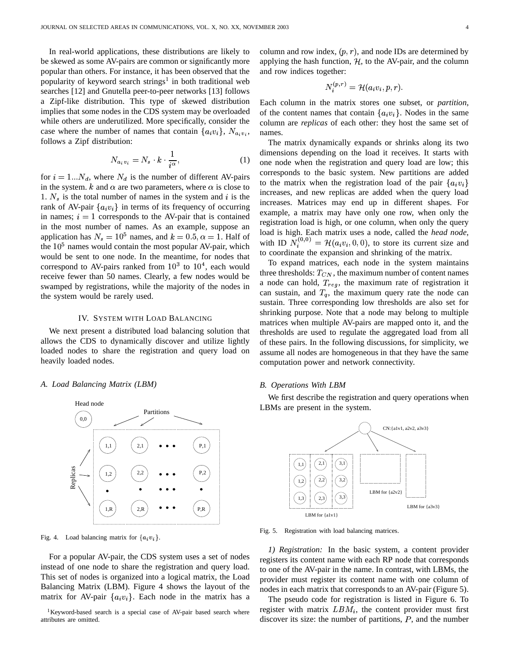In real-world applications, these distributions are likely to be skewed as some AV-pairs are common or significantly more popular than others. For instance, it has been observed that the popularity of keyword search strings<sup>1</sup> in both traditional web searches [12] and Gnutella peer-to-peer networks [13] follows a Zipf-like distribution. This type of skewed distribution implies that some nodes in the CDS system may be overloaded while others are underutilized. More specifically, consider the case where the number of names that contain  $\{a_i v_i\}$ ,  $N_{a_i v_i}$ , follows a Zipf distribution:

$$
N_{a_i v_i} = N_s \cdot k \cdot \frac{1}{i^{\alpha}}, \tag{1}
$$

for  $i = 1...N_d$ , where  $N_d$  is the number of different AV-pairs in the system. k and  $\alpha$  are two parameters, where  $\alpha$  is close to 1.  $N_s$  is the total number of names in the system and i is the rank of AV-pair  $\{a_i v_i\}$  in terms of its frequency of occurring in names;  $i = 1$  corresponds to the AV-pair that is contained in the most number of names. As an example, suppose an application has  $N_s = 10^5$  names, and  $k = 0.5, \alpha = 1$ . Half of the  $10^5$  names would contain the most popular AV-pair, which would be sent to one node. In the meantime, for nodes that correspond to AV-pairs ranked from  $10^3$  to  $10^4$ , each would receive fewer than 50 names. Clearly, a few nodes would be swamped by registrations, while the majority of the nodes in the system would be rarely used.

#### IV. SYSTEM WITH LOAD BALANCING

We next present a distributed load balancing solution that allows the CDS to dynamically discover and utilize lightly loaded nodes to share the registration and query load on heavily loaded nodes.

#### *A. Load Balancing Matrix (LBM)*



Fig. 4. Load balancing matrix for  $\{a_i v_i\}$ .

For a popular AV-pair, the CDS system uses a set of nodes instead of one node to share the registration and query load. This set of nodes is organized into a logical matrix, the Load Balancing Matrix (LBM). Figure 4 shows the layout of the matrix for AV-pair  $\{a_i v_i\}$ . Each node in the matrix has a

column and row index,  $(p, r)$ , and node IDs are determined by applying the hash function,  $H$ , to the AV-pair, and the column and row indices together:

$$
N_i^{(p,r)} = \mathcal{H}(a_i v_i, p, r).
$$

Each column in the matrix stores one subset, or *partition*, of the content names that contain  $\{a_i v_i\}$ . Nodes in the same column are *replicas* of each other: they host the same set of names.

The matrix dynamically expands or shrinks along its two dimensions depending on the load it receives. It starts with one node when the registration and query load are low; this corresponds to the basic system. New partitions are added to the matrix when the registration load of the pair  $\{a_i v_i\}$ increases, and new replicas are added when the query load increases. Matrices may end up in different shapes. For example, a matrix may have only one row, when only the registration load is high, or one column, when only the query load is high. Each matrix uses a node, called the *head node*, with ID  $N_i^{(0,0)} = \mathcal{H}(a_i v_i, 0, 0)$ , to store its current size and to coordinate the expansion and shrinking of the matrix.

To expand matrices, each node in the system maintains three thresholds:  $T_{CN}$ , the maximum number of content names a node can hold,  $T_{req}$ , the maximum rate of registration it can sustain, and  $T_q$ , the maximum query rate the node can sustain. Three corresponding low thresholds are also set for shrinking purpose. Note that a node may belong to multiple matrices when multiple AV-pairs are mapped onto it, and the thresholds are used to regulate the aggregated load from all of these pairs. In the following discussions, for simplicity, we assume all nodes are homogeneous in that they have the same computation power and network connectivity.

#### *B. Operations With LBM*

We first describe the registration and query operations when LBMs are present in the system.



Fig. 5. Registration with load balancing matrices.

*1) Registration:* In the basic system, a content provider registers its content name with each RP node that corresponds to one of the AV-pair in the name. In contrast, with LBMs, the provider must register its content name with one column of nodes in each matrix that corresponds to an AV-pair (Figure 5).

The pseudo code for registration is listed in Figure 6. To register with matrix  $LBM_i$ , the content provider must first discover its size: the number of partitions,  $P$ , and the number

<sup>&</sup>lt;sup>1</sup>Keyword-based search is a special case of AV-pair based search where attributes are omitted.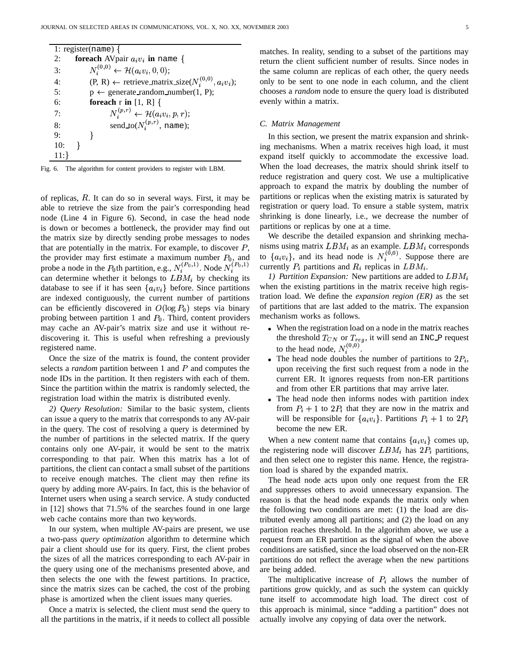|     | 1: register(name) $\{$                                              |  |
|-----|---------------------------------------------------------------------|--|
| 2:  | <b>foreach</b> AV pair $a_i v_i$ in name {                          |  |
| 3:  | $N_i^{(0,0)} \leftarrow \mathcal{H}(a_i v_i, 0, 0);$                |  |
| 4:  | $(P, R) \leftarrow$ retrieve matrix size( $N_i^{(0,0)}, a_i v_i$ ); |  |
| 5:  | $p \leftarrow$ generate random number(1, P);                        |  |
| 6:  | for each r in $[1, R]$ {                                            |  |
| 7:  | $N_i^{(p,r)} \leftarrow \mathcal{H}(a_i v_i, p, r);$                |  |
| 8:  | send_to( $N_i^{(p,r)}$ , name);                                     |  |
| 9:  |                                                                     |  |
| 10: |                                                                     |  |
| 11: |                                                                     |  |

Fig. 6. The algorithm for content providers to register with LBM.

of replicas, R. It can do so in several ways. First, it may be able to retrieve the size from the pair's corresponding head node (Line 4 in Figure 6). Second, in case the head node is down or becomes a bottleneck, the provider may find out the matrix size by directly sending probe messages to nodes that are potentially in the matrix. For example, to discover  $P$ , the provider may first estimate a maximum number  $P_0$ , and to probe a node in the  $P_0$ th partition, e.g.,  $N_i^{(P_0,1)}$ . Node  $N_i^{(P_0,1)}$  currently. can determine whether it belongs to  $LBM_i$  by checking its database to see if it has seen  $\{a_i v_i\}$  before. Since partitions are indexed contiguously, the current number of partitions can be efficiently discovered in  $O(\log P_0)$  steps via binary probing between partition 1 and  $P_0$ . Third, content providers may cache an AV-pair's matrix size and use it without rediscovering it. This is useful when refreshing a previously registered name.

Once the size of the matrix is found, the content provider selects a *random* partition between 1 and  $P$  and computes the node IDs in the partition. It then registers with each of them. Since the partition within the matrix is randomly selected, the registration load within the matrix is distributed evenly.

*2) Query Resolution:* Similar to the basic system, clients can issue a query to the matrix that corresponds to any AV-pair in the query. The cost of resolving a query is determined by the number of partitions in the selected matrix. If the query contains only one AV-pair, it would be sent to the matrix corresponding to that pair. When this matrix has a lot of partitions, the client can contact a small subset of the partitions to receive enough matches. The client may then refine its query by adding more AV-pairs. In fact, this is the behavior of Internet users when using a search service. A study conducted in [12] shows that 71.5% of the searches found in one large web cache contains more than two keywords.

In our system, when multiple AV-pairs are present, we use a two-pass *query optimization* algorithm to determine which pair a client should use for its query. First, the client probes the sizes of all the matrices corresponding to each AV-pair in the query using one of the mechanisms presented above, and then selects the one with the fewest partitions. In practice, since the matrix sizes can be cached, the cost of the probing phase is amortized when the client issues many queries.

Once a matrix is selected, the client must send the query to all the partitions in the matrix, if it needs to collect all possible matches. In reality, sending to a subset of the partitions may return the client sufficient number of results. Since nodes in the same column are replicas of each other, the query needs only to be sent to one node in each column, and the client chooses a *random* node to ensure the query load is distributed evenly within a matrix.

#### *C. Matrix Management*

In this section, we present the matrix expansion and shrinking mechanisms. When a matrix receives high load, it must expand itself quickly to accommodate the excessive load. When the load decreases, the matrix should shrink itself to reduce registration and query cost. We use a multiplicative approach to expand the matrix by doubling the number of partitions or replicas when the existing matrix is saturated by registration or query load. To ensure a stable system, matrix shrinking is done linearly, i.e., we decrease the number of partitions or replicas by one at a time.

i to  $\{a_i v_i\}$ , and its head node is  $N_i^{(0,0)}$ . Suppose there are We describe the detailed expansion and shrinking mechanisms using matrix  $LBM_i$  as an example.  $LBM_i$  corresponds currently  $P_i$  partitions and  $R_i$  replicas in  $LBM_i$ .

*1) Partition Expansion:* New partitions are added to  $LBM_i$ when the existing partitions in the matrix receive high registration load. We define the *expansion region (ER)* as the set of partitions that are last added to the matrix. The expansion mechanism works as follows.

- When the registration load on a node in the matrix reaches the threshold  $T_{CN}$  or  $T_{reg}$ , it will send an INC\_P request to the head node,  $N_i^{(0,0)}$ .
- The head node doubles the number of partitions to  $2P_i$ , upon receiving the first such request from a node in the current ER. It ignores requests from non-ER partitions and from other ER partitions that may arrive later.
- The head node then informs nodes with partition index . from  $P_i + 1$  to  $2P_i$  that they are now in the matrix and will be responsible for  $\{a_i v_i\}$ . Partitions  $P_i + 1$  to  $2P_i$ become the new ER.

When a new content name that contains  $\{a_i v_i\}$  comes up, the registering node will discover  $LBM_i$  has  $2P_i$  partitions, and then select one to register this name. Hence, the registration load is shared by the expanded matrix.

The head node acts upon only one request from the ER and suppresses others to avoid unnecessary expansion. The reason is that the head node expands the matrix only when the following two conditions are met: (1) the load are distributed evenly among all partitions; and (2) the load on any partition reaches threshold. In the algorithm above, we use a request from an ER partition as the signal of when the above conditions are satisfied, since the load observed on the non-ER partitions do not reflect the average when the new partitions are being added.

The multiplicative increase of  $P_i$  allows the number of partitions grow quickly, and as such the system can quickly tune itself to accommodate high load. The direct cost of this approach is minimal, since "adding a partition" does not actually involve any copying of data over the network.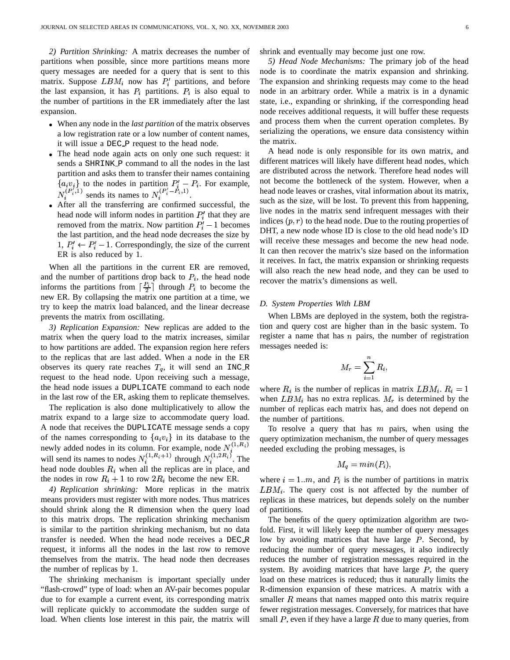*2) Partition Shrinking:* A matrix decreases the number of partitions when possible, since more partitions means more query messages are needed for a query that is sent to this matrix. Suppose  $LBM_i$  now has  $P_i'$  partitions, and before the last expansion, it has  $P_i$  partitions.  $P_i$  is also equal to the number of partitions in the ER immediately after the last expansion.

- When any node in the *last partition* of the matrix observes a low registration rate or a low number of content names, it will issue a DEC P request to the head node.
- The head node again acts on only one such request: it sends a SHRINK P command to all the nodes in the last partition and asks them to transfer their names containing  ${a_i v_i}$  to the nodes in partition  $P'_i - P_i$ . For example,  $N_i^{(P_i',1)}$  sends its names to  $N_i^{(P_i'-P_i,1)}$ .
- After all the transferring are confirmed successful, the head node will inform nodes in partition  $P_i'$  that they are removed from the matrix. Now partition  $P_i'$  – 1 becomes the last partition, and the head node decreases the size by 1,  $P'_i \leftarrow P'_i - 1$ . Correspondingly, the size of the current ER is also reduced by 1.

When all the partitions in the current ER are removed, and the number of partitions drop back to  $P_i$ , the head node informs the partitions from  $\left[\frac{P_i}{2}\right]$  through  $P_i$  to become the new ER. By collapsing the matrix one partition at a time, we try to keep the matrix load balanced, and the linear decrease prevents the matrix from oscillating.

*3) Replication Expansion:* New replicas are added to the matrix when the query load to the matrix increases, similar to how partitions are added. The expansion region here refers to the replicas that are last added. When a node in the ER observes its query rate reaches  $T_q$ , it will send an INC R request to the head node. Upon receiving such a message, the head node issues a DUPLICATE command to each node in the last row of the ER, asking them to replicate themselves.

The replication is also done multiplicatively to allow the matrix expand to a large size to accommodate query load. A node that receives the DUPLICATE message sends a copy of the names corresponding to  $\{a_i v_i\}$  in its database to the newly added nodes in its column. For example, node  $N_i^{(1,R_i)}$  needed ex will send its names to nodes  $N_i^{(1,R_i+1)}$  through  $N_i^{(1,2R_i)}$ . The head node doubles  $R_i$  when all the replicas are in place, and the nodes in row  $R_i + 1$  to row  $2R_i$  become the new ER.

*4) Replication shrinking:* More replicas in the matrix means providers must register with more nodes. Thus matrices should shrink along the R dimension when the query load to this matrix drops. The replication shrinking mechanism is similar to the partition shrinking mechanism, but no data transfer is needed. When the head node receives a DEC R request, it informs all the nodes in the last row to remove themselves from the matrix. The head node then decreases the number of replicas by 1.

The shrinking mechanism is important specially under "flash-crowd" type of load: when an AV-pair becomes popular due to for example a current event, its corresponding matrix will replicate quickly to accommodate the sudden surge of load. When clients lose interest in this pair, the matrix will shrink and eventually may become just one row.

*5) Head Node Mechanisms:* The primary job of the head node is to coordinate the matrix expansion and shrinking. The expansion and shrinking requests may come to the head node in an arbitrary order. While a matrix is in a dynamic state, i.e., expanding or shrinking, if the corresponding head node receives additional requests, it will buffer these requests and process them when the current operation completes. By serializing the operations, we ensure data consistency within the matrix.

A head node is only responsible for its own matrix, and different matrices will likely have different head nodes, which are distributed across the network. Therefore head nodes will not become the bottleneck of the system. However, when a head node leaves or crashes, vital information about its matrix, such as the size, will be lost. To prevent this from happening, live nodes in the matrix send infrequent messages with their indices  $(p, r)$  to the head node. Due to the routing properties of DHT, a new node whose ID is close to the old head node's ID will receive these messages and become the new head node. It can then recover the matrix's size based on the information it receives. In fact, the matrix expansion or shrinking requests will also reach the new head node, and they can be used to recover the matrix's dimensions as well.

## *D. System Properties With LBM*

When LBMs are deployed in the system, both the registration and query cost are higher than in the basic system. To register a name that has  $n$  pairs, the number of registration messages needed is:

$$
M_r=\sum_{i=1}^n R_i,
$$

where  $R_i$  is the number of replicas in matrix  $LBM_i$ .  $R_i = 1$ when  $LBM_i$  has no extra replicas.  $M_r$  is determined by the number of replicas each matrix has, and does not depend on the number of partitions.

the query optimization mechanism, the number of query messages To resolve a query that has  $m$  pairs, when using the needed excluding the probing messages, is

$$
M_q = min(P_i),
$$

where  $i = 1..m$ , and  $P_i$  is the number of partitions in matrix  $LBM_i$ . The query cost is not affected by the number of replicas in these matrices, but depends solely on the number of partitions.

The benefits of the query optimization algorithm are twofold. First, it will likely keep the number of query messages low by avoiding matrices that have large  $P$ . Second, by reducing the number of query messages, it also indirectly reduces the number of registration messages required in the system. By avoiding matrices that have large  $P$ , the query load on these matrices is reduced; thus it naturally limits the R-dimension expansion of these matrices. A matrix with a smaller  $R$  means that names mapped onto this matrix require fewer registration messages. Conversely, for matrices that have small  $P$ , even if they have a large  $R$  due to many queries, from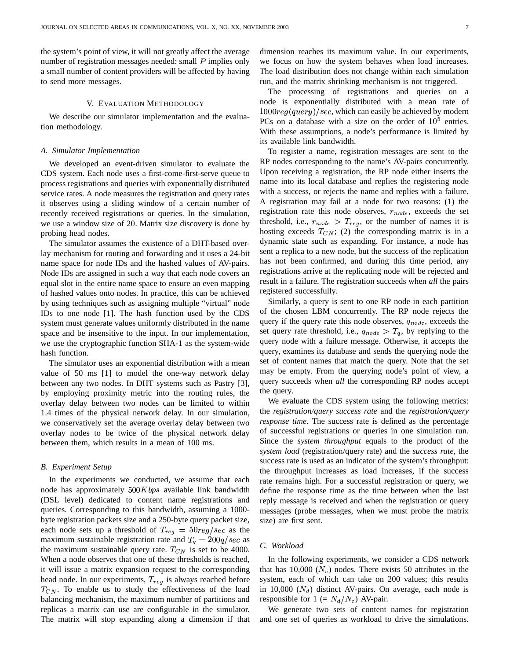the system's point of view, it will not greatly affect the average number of registration messages needed: small  $P$  implies only a small number of content providers will be affected by having to send more messages.

#### V. EVALUATION METHODOLOGY

We describe our simulator implementation and the evaluation methodology.

#### *A. Simulator Implementation*

We developed an event-driven simulator to evaluate the CDS system. Each node uses a first-come-first-serve queue to process registrations and queries with exponentially distributed service rates. A node measures the registration and query rates it observes using a sliding window of a certain number of recently received registrations or queries. In the simulation, we use a window size of 20. Matrix size discovery is done by probing head nodes.

The simulator assumes the existence of a DHT-based overlay mechanism for routing and forwarding and it uses a 24-bit name space for node IDs and the hashed values of AV-pairs. Node IDs are assigned in such a way that each node covers an equal slot in the entire name space to ensure an even mapping of hashed values onto nodes. In practice, this can be achieved by using techniques such as assigning multiple "virtual" node IDs to one node [1]. The hash function used by the CDS system must generate values uniformly distributed in the name space and be insensitive to the input. In our implementation, we use the cryptographic function SHA-1 as the system-wide hash function.

The simulator uses an exponential distribution with a mean value of 50 ms [1] to model the one-way network delay between any two nodes. In DHT systems such as Pastry [3], by employing proximity metric into the routing rules, the overlay delay between two nodes can be limited to within 1.4 times of the physical network delay. In our simulation, we conservatively set the average overlay delay between two overlay nodes to be twice of the physical network delay between them, which results in a mean of 100 ms.

#### *B. Experiment Setup*

In the experiments we conducted, we assume that each node has approximately  $500Kbps$  available link bandwidth (DSL level) dedicated to content name registrations and queries. Corresponding to this bandwidth, assuming a 1000 byte registration packets size and a 250-byte query packet size, each node sets up a threshold of  $T_{req} = 50 reg/sec$  as the maximum sustainable registration rate and  $T<sub>q</sub> = 200q/sec$  as the maximum sustainable query rate.  $T_{CN}$  is set to be 4000. When a node observes that one of these thresholds is reached, it will issue a matrix expansion request to the corresponding head node. In our experiments,  $T_{reg}$  is always reached before  $T_{CN}$ . To enable us to study the effectiveness of the load balancing mechanism, the maximum number of partitions and replicas a matrix can use are configurable in the simulator. The matrix will stop expanding along a dimension if that

dimension reaches its maximum value. In our experiments, we focus on how the system behaves when load increases. The load distribution does not change within each simulation run, and the matrix shrinking mechanism is not triggered.

The processing of registrations and queries on node . is exponentially distributed with a mean rate of  $000regquery)/sec$ , which can easily be achieved by modern PCs on a database with a size on the order of  $10<sup>5</sup>$  entries. With these assumptions, a node's performance is limited by its available link bandwidth.

To register a name, registration messages are sent to the RP nodes corresponding to the name's AV-pairs concurrently. Upon receiving a registration, the RP node either inserts the name into its local database and replies the registering node with a success, or rejects the name and replies with a failure. A registration may fail at a node for two reasons: (1) the registration rate this node observes,  $r_{node}$ , exceeds the set threshold, i.e.,  $r_{node} > T_{req}$ , or the number of names it is hosting exceeds  $T_{CN}$ ; (2) the corresponding matrix is in a dynamic state such as expanding. For instance, a node has sent a replica to a new node, but the success of the replication has not been confirmed, and during this time period, any registrations arrive at the replicating node will be rejected and result in a failure. The registration succeeds when *all* the pairs registered successfully.

Similarly, a query is sent to one RP node in each partition of the chosen LBM concurrently. The RP node rejects the query if the query rate this node observes,  $q_{node}$ , exceeds the set query rate threshold, i.e.,  $q_{node} > T_q$ , by replying to the query node with a failure message. Otherwise, it accepts the query, examines its database and sends the querying node the set of content names that match the query. Note that the set may be empty. From the querying node's point of view, a query succeeds when *all* the corresponding RP nodes accept the query.

We evaluate the CDS system using the following metrics: the *registration/query success rate* and the *registration/query response time*. The success rate is defined as the percentage of successful registrations or queries in one simulation run. Since the *system throughput* equals to the product of the *system load* (registration/query rate) and the *success rate*, the success rate is used as an indicator of the system's throughput: the throughput increases as load increases, if the success rate remains high. For a successful registration or query, we define the response time as the time between when the last reply message is received and when the registration or query messages (probe messages, when we must probe the matrix size) are first sent.

### *C. Workload*

In the following experiments, we consider a CDS network that has 10,000  $(N_c)$  nodes. There exists 50 attributes in the system, each of which can take on 200 values; this results in 10,000  $(N_d)$  distinct AV-pairs. On average, each node is responsible for  $1 (= N_d/N_c)$  AV-pair.

We generate two sets of content names for registration and one set of queries as workload to drive the simulations.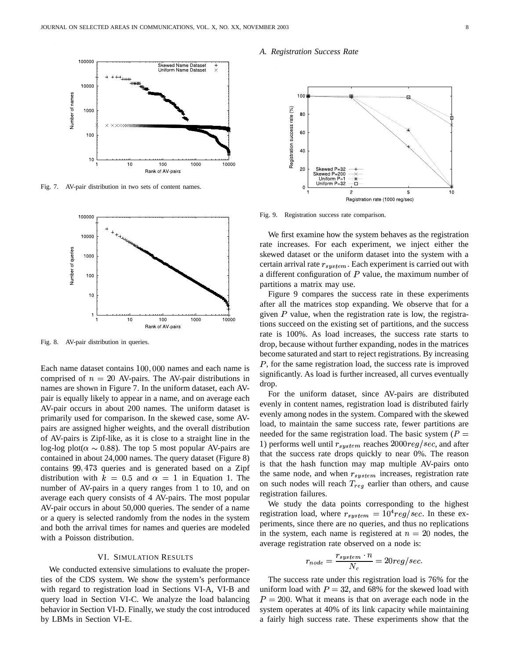

Fig. 7. AV-pair distribution in two sets of content names.



Fig. 8. AV-pair distribution in queries.

Each name dataset contains 100,000 names and each name is comprised of  $n = 20$  AV-pairs. The AV-pair distributions in names are shown in Figure 7. In the uniform dataset, each AVpair is equally likely to appear in a name, and on average each AV-pair occurs in about 200 names. The uniform dataset is primarily used for comparison. In the skewed case, some AVpairs are assigned higher weights, and the overall distribution of AV-pairs is Zipf-like, as it is close to a straight line in the log-log plot( $\alpha \sim 0.88$ ). The top 5 most popular AV-pairs are contained in about 24,000 names. The query dataset (Figure 8) contains 99,473 queries and is generated based on a Zipf distribution with  $k = 0.5$  and  $\alpha = 1$  in Equation 1. The number of AV-pairs in a query ranges from 1 to 10, and on average each query consists of 4 AV-pairs. The most popular AV-pair occurs in about 50,000 queries. The sender of a name or a query is selected randomly from the nodes in the system and both the arrival times for names and queries are modeled with a Poisson distribution.

#### VI. SIMULATION RESULTS

We conducted extensive simulations to evaluate the properties of the CDS system. We show the system's performance with regard to registration load in Sections VI-A, VI-B and query load in Section VI-C. We analyze the load balancing behavior in Section VI-D. Finally, we study the cost introduced by LBMs in Section VI-E.

#### *A. Registration Success Rate*



Fig. 9. Registration success rate comparison.

We first examine how the system behaves as the registration rate increases. For each experiment, we inject either the skewed dataset or the uniform dataset into the system with a certain arrival rate  $r_{system}$ . Each experiment is carried out with a different configuration of  $P$  value, the maximum number of partitions a matrix may use.

Figure 9 compares the success rate in these experiments after all the matrices stop expanding. We observe that for a given  $P$  value, when the registration rate is low, the registrations succeed on the existing set of partitions, and the success rate is 100%. As load increases, the success rate starts to drop, because without further expanding, nodes in the matrices become saturated and start to reject registrations. By increasing  $P$ , for the same registration load, the success rate is improved significantly. As load is further increased, all curves eventually drop.

For the uniform dataset, since AV-pairs are distributed evenly in content names, registration load is distributed fairly evenly among nodes in the system. Compared with the skewed load, to maintain the same success rate, fewer partitions are needed for the same registration load. The basic system ( $P =$ ) performs well until  $r_{system}$  reaches  $2000reg/sec$ , and after that the success rate drops quickly to near 0%. The reason is that the hash function may map multiple AV-pairs onto the same node, and when  $r_{system}$  increases, registration rate on such nodes will reach  $T_{reg}$  earlier than others, and cause registration failures.

We study the data points corresponding to the highest . registration load, where  $r_{system} = 10^4 reg/sec$ . In these experiments, since there are no queries, and thus no replications in the system, each name is registered at  $n = 20$  nodes, the average registration rate observed on a node is:

$$
r_{node} = \frac{r_{system} \cdot n}{N_c} = 20reg/sec.
$$

The success rate under this registration load is 76% for the uniform load with  $P = 32$ , and 68% for the skewed load with  $P = 200$ . What it means is that on average each node in the system operates at 40% of its link capacity while maintaining a fairly high success rate. These experiments show that the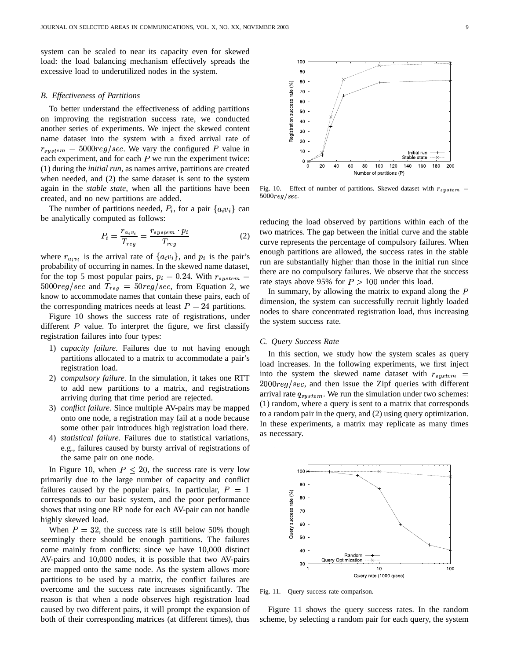system can be scaled to near its capacity even for skewed load: the load balancing mechanism effectively spreads the excessive load to underutilized nodes in the system.

#### *B. Effectiveness of Partitions*

To better understand the effectiveness of adding partitions on improving the registration success rate, we conducted another series of experiments. We inject the skewed content name dataset into the system with a fixed arrival rate of  $r_{system} = 5000reg/sec$ . We vary the configured P value in each experiment, and for each  $P$  we run the experiment twice: (1) during the *initial run*, as names arrive, partitions are created when needed, and (2) the same dataset is sent to the system again in the *stable state*, when all the partitions have been created, and no new partitions are added.

The number of partitions needed,  $P_i$ , for a pair  $\{a_i v_i\}$  can be analytically computed as follows:

$$
P_i = \frac{r_{a_i v_i}}{T_{reg}} = \frac{r_{system} \cdot p_i}{T_{reg}} \tag{2}
$$

where  $r_{a_i v_i}$  is the arrival rate of  $\{a_i v_i\}$ , and  $p_i$  is the pair's probability of occurring in names. In the skewed name dataset, for the top 5 most popular pairs,  $p_i = 0.24$ . With  $r_{system} =$  there are no  $5000reg/sec$  and  $T_{req} = 50reg/sec$ , from Equation 2, we know to accommodate names that contain these pairs, each of the corresponding matrices needs at least  $P = 24$  partitions.

Figure 10 shows the success rate of registrations, under different  $P$  value. To interpret the figure, we first classify registration failures into four types:

- 1) *capacity failure*. Failures due to not having enough partitions allocated to a matrix to accommodate a pair's registration load.
- 2) *compulsory failure*. In the simulation, it takes one RTT to add new partitions to a matrix, and registrations arriving during that time period are rejected.
- 3) *conflict failure*. Since multiple AV-pairs may be mapped onto one node, a registration may fail at a node because some other pair introduces high registration load there.
- 4) *statistical failure*. Failures due to statistical variations, e.g., failures caused by bursty arrival of registrations of the same pair on one node.

In Figure 10, when  $P \leq 20$ , the success rate is very low primarily due to the large number of capacity and conflict . failures caused by the popular pairs. In particular,  $P = 1$ corresponds to our basic system, and the poor performance shows that using one RP node for each AV-pair can not handle highly skewed load.

When  $P = 32$ , the success rate is still below 50% though seemingly there should be enough partitions. The failures come mainly from conflicts: since we have 10,000 distinct AV-pairs and 10,000 nodes, it is possible that two AV-pairs are mapped onto the same node. As the system allows more partitions to be used by a matrix, the conflict failures are overcome and the success rate increases significantly. The reason is that when a node observes high registration load caused by two different pairs, it will prompt the expansion of both of their corresponding matrices (at different times), thus



Fig. 10. Effect of number of partitions. Skewed dataset with  $r_{system} =$  $5000$ reg/sec.

reducing the load observed by partitions within each of the two matrices. The gap between the initial curve and the stable curve represents the percentage of compulsory failures. When enough partitions are allowed, the success rates in the stable run are substantially higher than those in the initial run since there are no compulsory failures. We observe that the success . rate stays above 95% for  $P > 100$  under this load.

In summary, by allowing the matrix to expand along the  $P$ dimension, the system can successfully recruit lightly loaded nodes to share concentrated registration load, thus increasing the system success rate.

#### *C. Query Success Rate*

In this section, we study how the system scales as query load increases. In the following experiments, we first inject into the system the skewed name dataset with  $r_{system}$  =  $2000reg/sec$ , and then issue the Zipf queries with different arrival rate  $q_{system}$ . We run the simulation under two schemes: (1) random, where a query is sent to a matrix that corresponds to a random pair in the query, and (2) using query optimization. In these experiments, a matrix may replicate as many times as necessary.



Fig. 11. Query success rate comparison.

Figure 11 shows the query success rates. In the random scheme, by selecting a random pair for each query, the system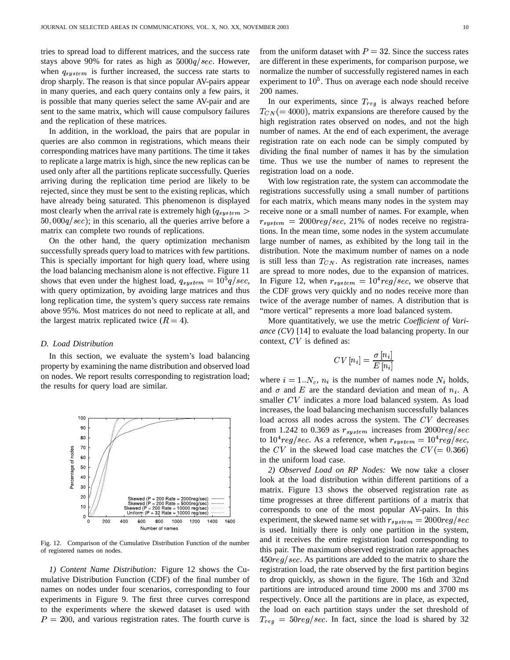tries to spread load to different matrices, and the success rate stays above 90% for rates as high as  $5000q/sec$ . However, when  $q_{system}$  is further increased, the success rate starts to drop sharply. The reason is that since popular AV-pairs appear in many queries, and each query contains only a few pairs, it is possible that many queries select the same AV-pair and are sent to the same matrix, which will cause compulsory failures and the replication of these matrices.

In addition, in the workload, the pairs that are popular in queries are also common in registrations, which means their corresponding matrices have many partitions. The time it takes to replicate a large matrix is high, since the new replicas can be used only after all the partitions replicate successfully. Queries arriving during the replication time period are likely to be rejected, since they must be sent to the existing replicas, which have already being saturated. This phenomenon is displayed most clearly when the arrival rate is extremely high  $(q_{system} >$  $50,000q/sec$ ; in this scenario, all the queries arrive before a matrix can complete two rounds of replications.

On the other hand, the query optimization mechanism successfully spreads query load to matrices with few partitions. This is specially important for high query load, where using the load balancing mechanism alone is not effective. Figure 11 . shows that even under the highest load,  $q_{system} = 10^5 q/sec$ , In with query optimization, by avoiding large matrices and thus long replication time, the system's query success rate remains above 95%. Most matrices do not need to replicate at all, and the largest matrix replicated twice  $(R = 4)$ .

#### *D. Load Distribution*

In this section, we evaluate the system's load balancing property by examining the name distribution and observed load on nodes. We report results corresponding to registration load; the results for query load are similar.



Fig. 12. Comparison of the Cumulative Distribution Function of the number of registered names on nodes.

*1) Content Name Distribution:* Figure 12 shows the Cumulative Distribution Function (CDF) of the final number of names on nodes under four scenarios, corresponding to four experiments in Figure 9. The first three curves correspond to the experiments where the skewed dataset is used with  $P = 200$ , and various registration rates. The fourth curve is

from the uniform dataset with  $P = 32$ . Since the success rates are different in these experiments, for comparison purpose, we normalize the number of successfully registered names in each  $\mu$  experiment to  $10^5$ . Thus on average each node should receive 200 names.

In our experiments, since  $T_{reg}$  is always reached before  $T_{CN}$  (= 4000), matrix expansions are therefore caused by the high registration rates observed on nodes, and not the high number of names. At the end of each experiment, the average registration rate on each node can be simply computed by dividing the final number of names it has by the simulation time. Thus we use the number of names to represent the registration load on a node.

 $_{stem}$  > receive none or a small number of names. For example, when In Figure 12, when  $r_{system} = 10^4 \text{reg/sec}$ , we observe that With low registration rate, the system can accommodate the registrations successfully using a small number of partitions for each matrix, which means many nodes in the system may  $r_{system} = 2000reg/sec, 21%$  of nodes receive no registrations. In the mean time, some nodes in the system accumulate large number of names, as exhibited by the long tail in the distribution. Note the maximum number of names on a node is still less than  $T_{CN}$ . As registration rate increases, names are spread to more nodes, due to the expansion of matrices. . the CDF grows very quickly and no nodes receive more than twice of the average number of names. A distribution that is "more vertical" represents a more load balanced system.

> More quantitatively, we use the metric *Coefficient of Variance (CV)* [14] to evaluate the load balancing property. In our context,  $CV$  is defined as:

$$
CV\left[n_{i}\right]=\frac{\sigma\left[n_{i}\right]}{E\left[n_{i}\right]}
$$

where  $i = 1..N_c$ ,  $n_i$  is the number of names node  $N_i$  holds, and  $\sigma$  and E are the standard deviation and mean of  $n_i$ . A smaller  $CV$  indicates a more load balanced system. As load increases, the load balancing mechanism successfully balances load across all nodes across the system. The  $CV$  decreases from 1.242 to 0.369 as  $r_{system}$  increases from 2000 $reg/sec$ to  $10^4$ reg/sec. As a reference, when  $r_{system} = 10^4$ reg/sec, the CV in the skewed load case matches the  $CV( = 0.366)$ in the uniform load case.

*2) Observed Load on RP Nodes:* We now take a closer look at the load distribution within different partitions of a matrix. Figure 13 shows the observed registration rate as time progresses at three different partitions of a matrix that corresponds to one of the most popular AV-pairs. In this experiment, the skewed name set with  $r_{system} = 2000reg/sec$ is used. Initially there is only one partition in the system, and it receives the entire registration load corresponding to this pair. The maximum observed registration rate approaches  $450reg/sec$ . As partitions are added to the matrix to share the registration load, the rate observed by the first partition begins to drop quickly, as shown in the figure. The 16th and 32nd partitions are introduced around time 2000 ms and 3700 ms respectively. Once all the partitions are in place, as expected, the load on each partition stays under the set threshold of  $T_{req} = 50reg/sec$ . In fact, since the load is shared by 32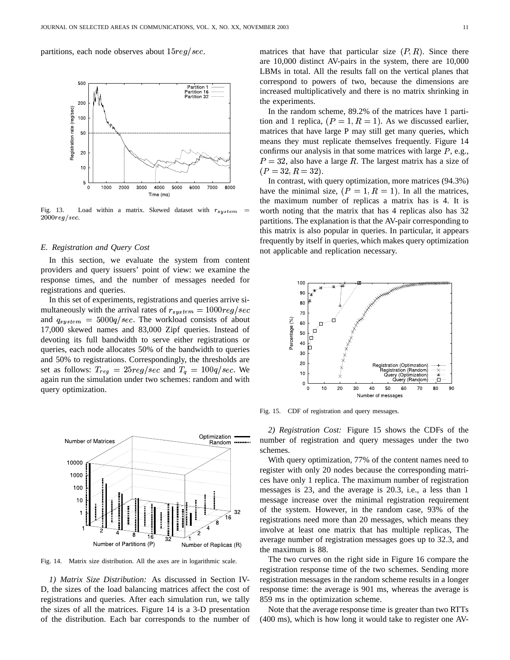partitions, each node observes about  $15reg/sec$ .



Fig. 13. Load within a matrix. Skewed dataset with  $r_{syst}$  $2000$ reg/sec.

#### *E. Registration and Query Cost*

In this section, we evaluate the system from content providers and query issuers' point of view: we examine the response times, and the number of messages needed for registrations and queries.

In this set of experiments, registrations and queries arrive si-. multaneously with the arrival rates of  $r_{system} = 1000reg/sec$ and  $q_{system} = 5000q/sec$ . The workload consists of about 17,000 skewed names and 83,000 Zipf queries. Instead of devoting its full bandwidth to serve either registrations or queries, each node allocates 50% of the bandwidth to queries and 50% to registrations. Correspondingly, the thresholds are . set as follows:  $T_{reg} = 25reg/sec$  and  $T_q = 100q/sec$ . We again run the simulation under two schemes: random and with query optimization.



Fig. 14. Matrix size distribution. All the axes are in logarithmic scale.

*1) Matrix Size Distribution:* As discussed in Section IV-D, the sizes of the load balancing matrices affect the cost of registrations and queries. After each simulation run, we tally the sizes of all the matrices. Figure 14 is a 3-D presentation of the distribution. Each bar corresponds to the number of

matrices that have that particular size  $(P, R)$ . Since there are 10,000 distinct AV-pairs in the system, there are 10,000 LBMs in total. All the results fall on the vertical planes that correspond to powers of two, because the dimensions are increased multiplicatively and there is no matrix shrinking in the experiments.

In the random scheme, 89.2% of the matrices have 1 partition and 1 replica,  $(P = 1, R = 1)$ . As we discussed earlier, matrices that have large P may still get many queries, which means they must replicate themselves frequently. Figure 14 confirms our analysis in that some matrices with large  $P$ , e.g.,  $P = 32$ , also have a large R. The largest matrix has a size of  $(P = 32, R = 32).$ 

 $em =$  worth noting that the matrix that has 4 replicas also has 32 In contrast, with query optimization, more matrices (94.3%) . . have the minimal size,  $(P = 1, R = 1)$ . In all the matrices, the maximum number of replicas a matrix has is 4. It is partitions. The explanation is that the AV-pair corresponding to this matrix is also popular in queries. In particular, it appears frequently by itself in queries, which makes query optimization not applicable and replication necessary.



Fig. 15. CDF of registration and query messages.

*2) Registration Cost:* Figure 15 shows the CDFs of the number of registration and query messages under the two schemes.

With query optimization, 77% of the content names need to register with only 20 nodes because the corresponding matrices have only 1 replica. The maximum number of registration messages is 23, and the average is 20.3, i.e., a less than 1 message increase over the minimal registration requirement of the system. However, in the random case, 93% of the registrations need more than 20 messages, which means they involve at least one matrix that has multiple replicas, The average number of registration messages goes up to 32.3, and the maximum is 88.

The two curves on the right side in Figure 16 compare the registration response time of the two schemes. Sending more registration messages in the random scheme results in a longer response time: the average is 901 ms, whereas the average is 859 ms in the optimization scheme.

Note that the average response time is greater than two RTTs (400 ms), which is how long it would take to register one AV-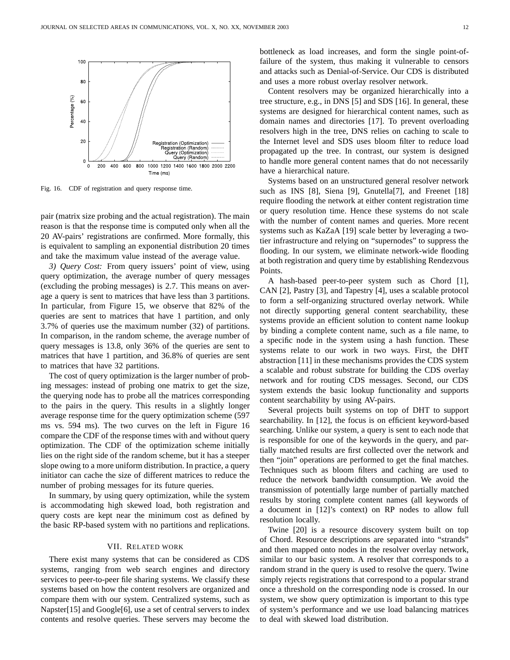

Fig. 16. CDF of registration and query response time.

pair (matrix size probing and the actual registration). The main reason is that the response time is computed only when all the 20 AV-pairs' registrations are confirmed. More formally, this is equivalent to sampling an exponential distribution 20 times and take the maximum value instead of the average value.

*3) Query Cost:* From query issuers' point of view, using query optimization, the average number of query messages (excluding the probing messages) is 2.7. This means on average a query is sent to matrices that have less than 3 partitions. In particular, from Figure 15, we observe that 82% of the queries are sent to matrices that have 1 partition, and only 3.7% of queries use the maximum number (32) of partitions. In comparison, in the random scheme, the average number of query messages is 13.8, only 36% of the queries are sent to matrices that have 1 partition, and 36.8% of queries are sent to matrices that have 32 partitions.

The cost of query optimization is the larger number of probing messages: instead of probing one matrix to get the size, the querying node has to probe all the matrices corresponding to the pairs in the query. This results in a slightly longer average response time for the query optimization scheme (597 ms vs. 594 ms). The two curves on the left in Figure 16 compare the CDF of the response times with and without query optimization. The CDF of the optimization scheme initially lies on the right side of the random scheme, but it has a steeper slope owing to a more uniform distribution. In practice, a query initiator can cache the size of different matrices to reduce the number of probing messages for its future queries.

In summary, by using query optimization, while the system is accommodating high skewed load, both registration and query costs are kept near the minimum cost as defined by the basic RP-based system with no partitions and replications.

#### VII. RELATED WORK

There exist many systems that can be considered as CDS systems, ranging from web search engines and directory services to peer-to-peer file sharing systems. We classify these systems based on how the content resolvers are organized and compare them with our system. Centralized systems, such as Napster[15] and Google[6], use a set of central servers to index contents and resolve queries. These servers may become the bottleneck as load increases, and form the single point-offailure of the system, thus making it vulnerable to censors and attacks such as Denial-of-Service. Our CDS is distributed and uses a more robust overlay resolver network.

Content resolvers may be organized hierarchically into a tree structure, e.g., in DNS [5] and SDS [16]. In general, these systems are designed for hierarchical content names, such as domain names and directories [17]. To prevent overloading resolvers high in the tree, DNS relies on caching to scale to the Internet level and SDS uses bloom filter to reduce load propagated up the tree. In contrast, our system is designed to handle more general content names that do not necessarily have a hierarchical nature.

Systems based on an unstructured general resolver network such as INS [8], Siena [9], Gnutella<sup>[7]</sup>, and Freenet [18] require flooding the network at either content registration time or query resolution time. Hence these systems do not scale with the number of content names and queries. More recent systems such as KaZaA [19] scale better by leveraging a twotier infrastructure and relying on "supernodes" to suppress the flooding. In our system, we eliminate network-wide flooding at both registration and query time by establishing Rendezvous Points.

A hash-based peer-to-peer system such as Chord [1], CAN [2], Pastry [3], and Tapestry [4], uses a scalable protocol to form a self-organizing structured overlay network. While not directly supporting general content searchability, these systems provide an efficient solution to content name lookup by binding a complete content name, such as a file name, to a specific node in the system using a hash function. These systems relate to our work in two ways. First, the DHT abstraction [11] in these mechanisms provides the CDS system a scalable and robust substrate for building the CDS overlay network and for routing CDS messages. Second, our CDS system extends the basic lookup functionality and supports content searchability by using AV-pairs.

Several projects built systems on top of DHT to support searchability. In [12], the focus is on efficient keyword-based searching. Unlike our system, a query is sent to each node that is responsible for one of the keywords in the query, and partially matched results are first collected over the network and then "join" operations are performed to get the final matches. Techniques such as bloom filters and caching are used to reduce the network bandwidth consumption. We avoid the transmission of potentially large number of partially matched results by storing complete content names (all keywords of a document in [12]'s context) on RP nodes to allow full resolution locally.

Twine [20] is a resource discovery system built on top of Chord. Resource descriptions are separated into "strands" and then mapped onto nodes in the resolver overlay network, similar to our basic system. A resolver that corresponds to a random strand in the query is used to resolve the query. Twine simply rejects registrations that correspond to a popular strand once a threshold on the corresponding node is crossed. In our system, we show query optimization is important to this type of system's performance and we use load balancing matrices to deal with skewed load distribution.